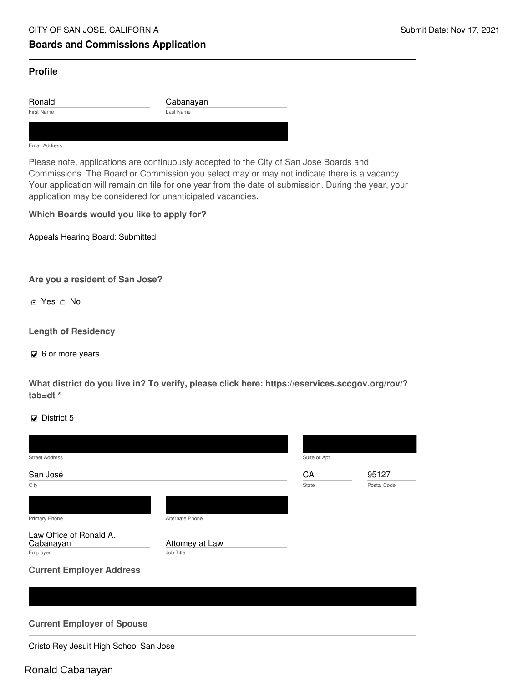# **Boards and Commissions Application**

## **Profile**

First Name Last Name Ronald Cabanayan

#### Email Address

Please note, applications are continuously accepted to the City of San Jose Boards and Commissions. The Board or Commission you select may or may not indicate there is a vacancy. Your application will remain on file for one year from the date of submission. During the year, your application may be considered for unanticipated vacancies.

### **Which Boards would you like to apply for?**

Appeals Hearing Board: Submitted

**Are you a resident of San Jose?**

o Yes o No

#### **Length of Residency**

 $\overline{6}$  6 or more years

**What district do you live in? To verify, please click here: https://eservices.sccgov.org/rov/? tab=dt \***

 $\nabla$  District 5

| San José<br>CA<br>State<br>City<br>Primary Phone<br>Alternate Phone<br>Law Office of Ronald A.<br>Attorney at Law<br>Cabanayan<br>Job Title<br>Employer |             |
|---------------------------------------------------------------------------------------------------------------------------------------------------------|-------------|
|                                                                                                                                                         | 95127       |
|                                                                                                                                                         | Postal Code |
|                                                                                                                                                         |             |
|                                                                                                                                                         |             |
|                                                                                                                                                         |             |
|                                                                                                                                                         |             |
| <b>Current Employer Address</b>                                                                                                                         |             |
|                                                                                                                                                         |             |

**Current Employer of Spouse**

Cristo Rey Jesuit High School San Jose

# Ronald Cabanayan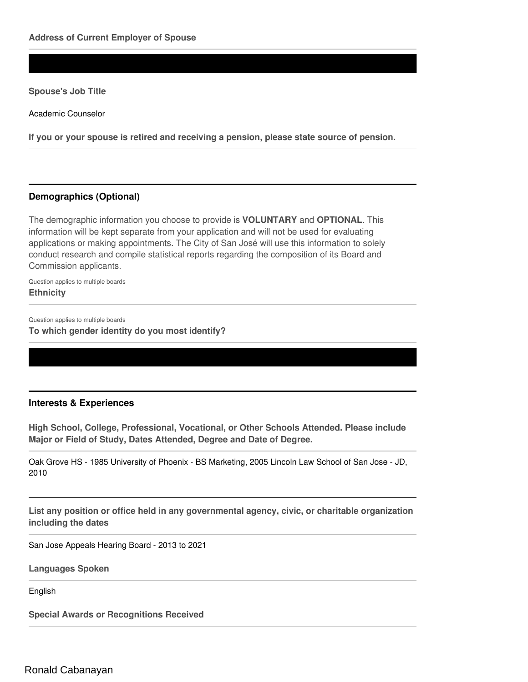#### **Spouse's Job Title**

Academic Counselor

**If you or your spouse is retired and receiving a pension, please state source of pension.**

## **Demographics (Optional)**

The demographic information you choose to provide is **VOLUNTARY** and **OPTIONAL**. This information will be kept separate from your application and will not be used for evaluating applications or making appointments. The City of San José will use this information to solely conduct research and compile statistical reports regarding the composition of its Board and Commission applicants.

Question applies to multiple boards **Ethnicity**

Question applies to multiple boards

**To which gender identity do you most identify?**

#### **Interests & Experiences**

**High School, College, Professional, Vocational, or Other Schools Attended. Please include Major or Field of Study, Dates Attended, Degree and Date of Degree.**

Oak Grove HS - 1985 University of Phoenix - BS Marketing, 2005 Lincoln Law School of San Jose - JD, 2010

**List any position or office held in any governmental agency, civic, or charitable organization including the dates**

San Jose Appeals Hearing Board - 2013 to 2021

**Languages Spoken**

English

**Special Awards or Recognitions Received**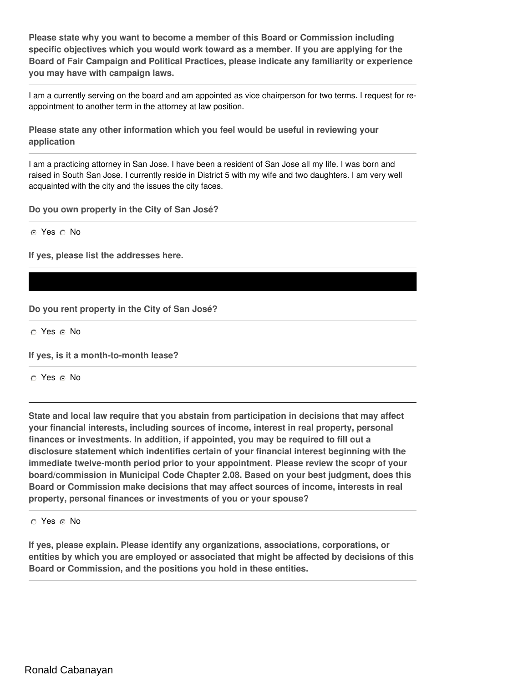**Please state why you want to become a member of this Board or Commission including specific objectives which you would work toward as a member. If you are applying for the Board of Fair Campaign and Political Practices, please indicate any familiarity or experience you may have with campaign laws.**

I am a currently serving on the board and am appointed as vice chairperson for two terms. I request for reappointment to another term in the attorney at law position.

**Please state any other information which you feel would be useful in reviewing your application**

I am a practicing attorney in San Jose. I have been a resident of San Jose all my life. I was born and raised in South San Jose. I currently reside in District 5 with my wife and two daughters. I am very well acquainted with the city and the issues the city faces.

**Do you own property in the City of San José?**

o Yes o No

**If yes, please list the addresses here.**

**Do you rent property in the City of San José?**

O Yes O No

**If yes, is it a month-to-month lease?**

o Yes o No

**State and local law require that you abstain from participation in decisions that may affect your financial interests, including sources of income, interest in real property, personal finances or investments. In addition, if appointed, you may be required to fill out a disclosure statement which indentifies certain of your financial interest beginning with the immediate twelve-month period prior to your appointment. Please review the scopr of your board/commission in Municipal Code Chapter 2.08. Based on your best judgment, does this Board or Commission make decisions that may affect sources of income, interests in real property, personal finances or investments of you or your spouse?**

o Yes o No

**If yes, please explain. Please identify any organizations, associations, corporations, or entities by which you are employed or associated that might be affected by decisions of this Board or Commission, and the positions you hold in these entities.**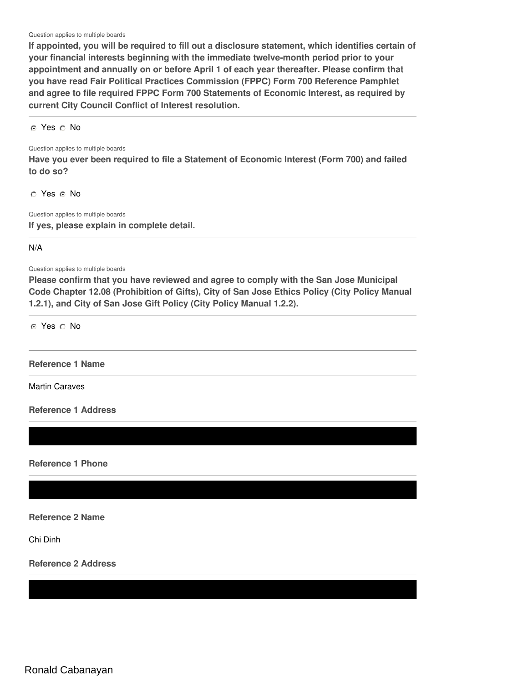Question applies to multiple boards

**If appointed, you will be required to fill out a disclosure statement, which identifies certain of your financial interests beginning with the immediate twelve-month period prior to your appointment and annually on or before April 1 of each year thereafter. Please confirm that you have read Fair Political Practices Commission (FPPC) Form 700 Reference Pamphlet and agree to file required FPPC Form 700 Statements of Economic Interest, as required by current City Council Conflict of Interest resolution.**

o Yes o No

Question applies to multiple boards

**Have you ever been required to file a Statement of Economic Interest (Form 700) and failed to do so?**

o Yes o No

Question applies to multiple boards **If yes, please explain in complete detail.**

N/A

Question applies to multiple boards

**Please confirm that you have reviewed and agree to comply with the San Jose Municipal Code Chapter 12.08 (Prohibition of Gifts), City of San Jose Ethics Policy (City Policy Manual 1.2.1), and City of San Jose Gift Policy (City Policy Manual 1.2.2).**

o Yes o No

#### **Reference 1 Name**

Martin Caraves

**Reference 1 Address**

**Reference 1 Phone**

**Reference 2 Name**

Chi Dinh

**Reference 2 Address**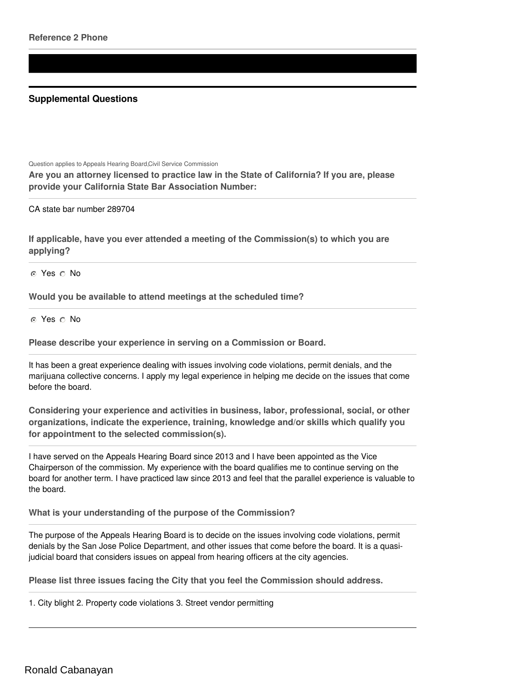# **Supplemental Questions**

Question applies to Appeals Hearing Board,Civil Service Commission

**Are you an attorney licensed to practice law in the State of California? If you are, please provide your California State Bar Association Number:**

CA state bar number 289704

**If applicable, have you ever attended a meeting of the Commission(s) to which you are applying?**

o Yes o No

**Would you be available to attend meetings at the scheduled time?**

o Yes o No

**Please describe your experience in serving on a Commission or Board.**

It has been a great experience dealing with issues involving code violations, permit denials, and the marijuana collective concerns. I apply my legal experience in helping me decide on the issues that come before the board.

**Considering your experience and activities in business, labor, professional, social, or other organizations, indicate the experience, training, knowledge and/or skills which qualify you for appointment to the selected commission(s).**

I have served on the Appeals Hearing Board since 2013 and I have been appointed as the Vice Chairperson of the commission. My experience with the board qualifies me to continue serving on the board for another term. I have practiced law since 2013 and feel that the parallel experience is valuable to the board.

**What is your understanding of the purpose of the Commission?**

The purpose of the Appeals Hearing Board is to decide on the issues involving code violations, permit denials by the San Jose Police Department, and other issues that come before the board. It is a quasijudicial board that considers issues on appeal from hearing officers at the city agencies.

**Please list three issues facing the City that you feel the Commission should address.**

1. City blight 2. Property code violations 3. Street vendor permitting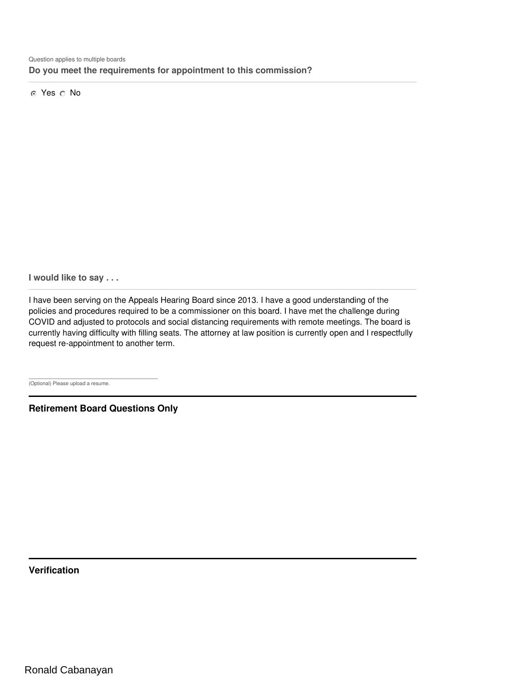o Yes o No

**I would like to say . . .**

I have been serving on the Appeals Hearing Board since 2013. I have a good understanding of the policies and procedures required to be a commissioner on this board. I have met the challenge during COVID and adjusted to protocols and social distancing requirements with remote meetings. The board is currently having difficulty with filling seats. The attorney at law position is currently open and I respectfully request re-appointment to another term.

(Optional) Please upload a resume.

**Retirement Board Questions Only**

**Verification**